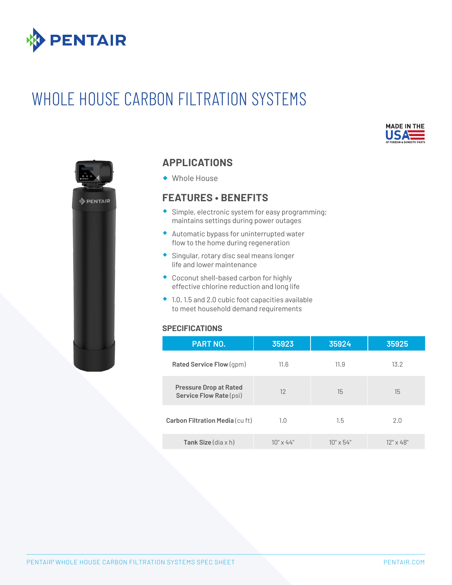

# WHOLE HOUSE CARBON FILTRATION SYSTEMS





### **APPLICATIONS**

® Whole House

### **FEATURES • BENEFITS**

- $\bullet$  Simple, electronic system for easy programming; maintains settings during power outages
- ® Automatic bypass for uninterrupted water flow to the home during regeneration
- ® Singular, rotary disc seal means longer life and lower maintenance
- ® Coconut shell-based carbon for highly effective chlorine reduction and long life
- $\bullet$  1.0, 1.5 and 2.0 cubic foot capacities available to meet household demand requirements

#### **SPECIFICATIONS**

| <b>PART NO.</b>                                          | 35923            | 35924            | 35925            |  |
|----------------------------------------------------------|------------------|------------------|------------------|--|
| Rated Service Flow (gpm)                                 | 11.6             | 11.9             | 13.2             |  |
| <b>Pressure Drop at Rated</b><br>Service Flow Rate (psi) | 12               | 15               | 15               |  |
| Carbon Filtration Media (cu ft)                          | 1.0              | 1.5              | 2.0              |  |
| Tank Size $(dia \times h)$                               | $10" \times 44"$ | $10" \times 54"$ | $12" \times 48"$ |  |